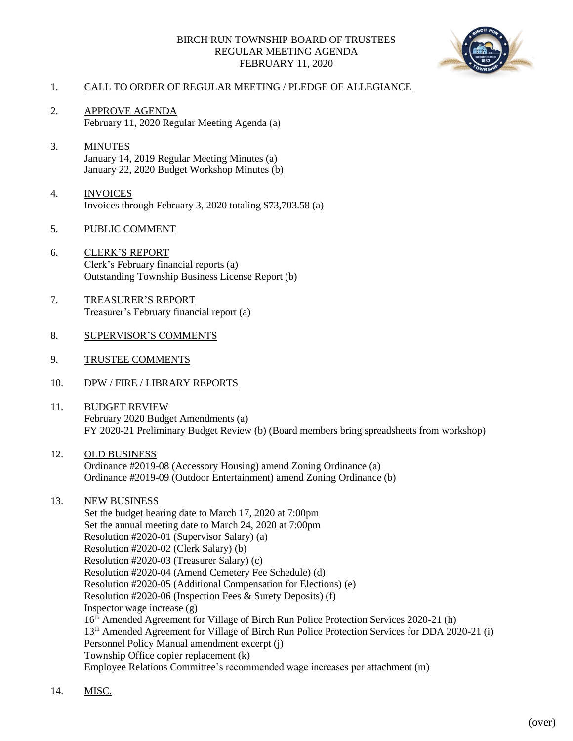## BIRCH RUN TOWNSHIP BOARD OF TRUSTEES REGULAR MEETING AGENDA FEBRUARY 11, 2020



## 1. CALL TO ORDER OF REGULAR MEETING / PLEDGE OF ALLEGIANCE

- 2. APPROVE AGENDA February 11, 2020 Regular Meeting Agenda (a)
- 3. MINUTES January 14, 2019 Regular Meeting Minutes (a) January 22, 2020 Budget Workshop Minutes (b)
- 4. INVOICES Invoices through February 3, 2020 totaling \$73,703.58 (a)
- 5. PUBLIC COMMENT
- 6. CLERK'S REPORT Clerk's February financial reports (a) Outstanding Township Business License Report (b)
- 7. TREASURER'S REPORT Treasurer's February financial report (a)
- 8. SUPERVISOR'S COMMENTS
- 9. TRUSTEE COMMENTS
- 10. DPW / FIRE / LIBRARY REPORTS
- 11. BUDGET REVIEW February 2020 Budget Amendments (a) FY 2020-21 Preliminary Budget Review (b) (Board members bring spreadsheets from workshop)
- 12. OLD BUSINESS Ordinance #2019-08 (Accessory Housing) amend Zoning Ordinance (a) Ordinance #2019-09 (Outdoor Entertainment) amend Zoning Ordinance (b)
- 13. NEW BUSINESS

Set the budget hearing date to March 17, 2020 at 7:00pm Set the annual meeting date to March 24, 2020 at 7:00pm Resolution #2020-01 (Supervisor Salary) (a) Resolution #2020-02 (Clerk Salary) (b) Resolution #2020-03 (Treasurer Salary) (c) Resolution #2020-04 (Amend Cemetery Fee Schedule) (d) Resolution #2020-05 (Additional Compensation for Elections) (e) Resolution #2020-06 (Inspection Fees & Surety Deposits) (f) Inspector wage increase (g) 16<sup>th</sup> Amended Agreement for Village of Birch Run Police Protection Services 2020-21 (h) 13th Amended Agreement for Village of Birch Run Police Protection Services for DDA 2020-21 (i) Personnel Policy Manual amendment excerpt (j) Township Office copier replacement (k) Employee Relations Committee's recommended wage increases per attachment (m)

14. MISC.